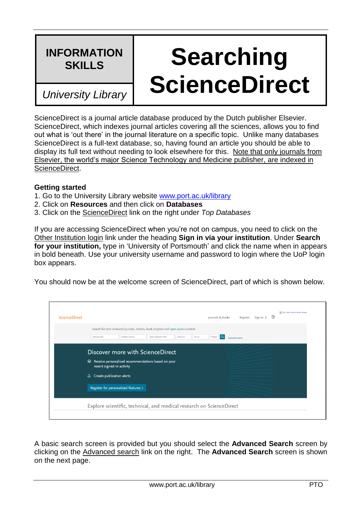## **INFORMATION**

## **Searching ScienceDirect** *University Library*

ScienceDirect is a journal article database produced by the Dutch publisher Elsevier. ScienceDirect, which indexes journal articles covering all the sciences, allows you to find out what is 'out there' in the journal literature on a specific topic. Unlike many databases ScienceDirect is a full-text database, so, having found an article you should be able to display its full text without needing to look elsewhere for this. Note that only journals from Elsevier, the world's major Science Technology and Medicine publisher, are indexed in ScienceDirect.

## **Getting started**

- 1. Go to the University Library website [www.port.ac.uk/library](http://www.port.ac.uk/library)
- 2. Click on **Resources** and then click on **Databases**
- 3. Click on the ScienceDirect link on the right under *Top Databases*

If you are accessing ScienceDirect when you're not on campus, you need to click on the Other Institution login link under the heading **Sign in via your institution**. Under **Search for your institution,** type in 'University of Portsmouth' and click the name when in appears in bold beneath. Use your university username and password to login where the UoP login box appears.

You should now be at the welcome screen of ScienceDirect, part of which is shown below.

| <b>ScienceDirect</b> | Nou have institutional access<br>Register Sign in $>$ 0<br>Journals & Books                                                                                                                           |  |  |  |  |  |
|----------------------|-------------------------------------------------------------------------------------------------------------------------------------------------------------------------------------------------------|--|--|--|--|--|
|                      | Search for peer-reviewed journals, articles, book chapters and open access content.<br>$\overline{Q}$<br>Keywords<br>Journal/book title<br>Volume<br>Issue<br>Pages<br>Author name<br>Advanced search |  |  |  |  |  |
|                      | Discover more with ScienceDirect<br>Receive personalized recommendations based on your<br>ଛ                                                                                                           |  |  |  |  |  |
|                      | recent signed-in activity<br>Create publication alerts<br>₽                                                                                                                                           |  |  |  |  |  |
|                      | Register for personalized features >                                                                                                                                                                  |  |  |  |  |  |
|                      | Explore scientific, technical, and medical research on ScienceDirect                                                                                                                                  |  |  |  |  |  |

A basic search screen is provided but you should select the **Advanced Search** screen by clicking on the Advanced search link on the right. The **Advanced Search** screen is shown on the next page.